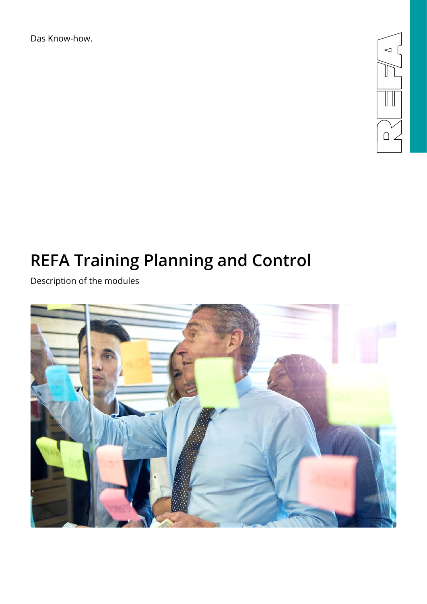Das Know-how.



# **REFA Training Planning and Control**

Description of the modules

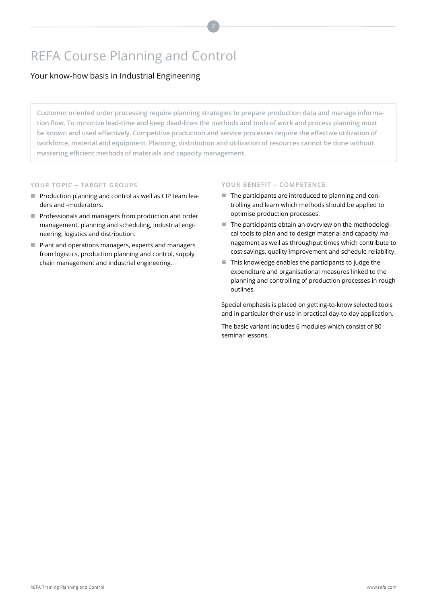# REFA Course Planning and Control

# Your know-how basis in Industrial Engineering

**Customer oriented order processing require planning strategies to prepare production data and manage information flow. To minimize lead-time and keep dead-lines the methods and tools of work and process planning must be known and used effectively. Competitive production and service processes require the effective utilization of workforce, material and equipment. Planning, distribution and utilization of resources cannot be done without mastering efficient methods of materials and capacity management.** 

# **YOUR TOPIC – TARGET GROUPS**

- **Production planning and control as well as CIP team lea**ders and -moderators.
- Professionals and managers from production and order management, planning and scheduling, industrial engineering, logistics and distribution.
- **Plant and operations managers, experts and managers** from logistics, production planning and control, supply chain management and industrial engineering.

# **YOUR BENEFIT – COMPETENCE**

- The participants are introduced to planning and controlling and learn which methods should be applied to optimise production processes.
- $\blacksquare$  The participants obtain an overview on the methodological tools to plan and to design material and capacity management as well as throughput times which contribute to cost savings, quality improvement and schedule reliability.
- This knowledge enables the participants to judge the expenditure and organisational measures linked to the planning and controlling of production processes in rough outlines.

Special emphasis is placed on getting-to-know selected tools and in particular their use in practical day-to-day application.

The basic variant includes 6 modules which consist of 80 seminar lessons.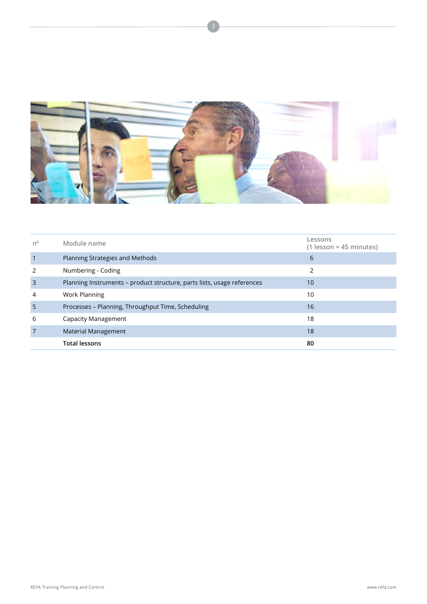

| n <sup>0</sup> | Module name                                                             | Lessons<br>$(1$ lesson = 45 minutes) |
|----------------|-------------------------------------------------------------------------|--------------------------------------|
| $\overline{1}$ | Planning Strategies and Methods                                         | 6                                    |
| 2              | Numbering - Coding                                                      | C,                                   |
| $\overline{3}$ | Planning Instruments - product structure, parts lists, usage references | 10                                   |
| 4              | <b>Work Planning</b>                                                    | 10                                   |
| $\overline{5}$ | Processes - Planning, Throughput Time, Scheduling                       | 16                                   |
| 6              | Capacity Management                                                     | 18                                   |
| $\overline{7}$ | <b>Material Management</b>                                              | 18                                   |
|                | <b>Total lessons</b>                                                    | 80                                   |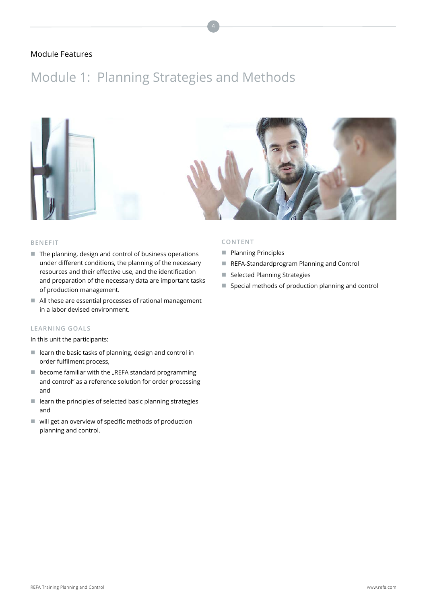# Module 1: Planning Strategies and Methods



#### **BENEFIT**

- $\blacksquare$  The planning, design and control of business operations under different conditions, the planning of the necessary resources and their effective use, and the identification and preparation of the necessary data are important tasks of production management.
- All these are essential processes of rational management in a labor devised environment.

### **LEARNING GOALS**

In this unit the participants:

- $\blacksquare$  learn the basic tasks of planning, design and control in order fulfilment process,
- $\blacksquare$  become familiar with the "REFA standard programming and control" as a reference solution for order processing and
- $\blacksquare$  learn the principles of selected basic planning strategies and
- will get an overview of specific methods of production planning and control.

- **Planning Principles**
- REFA-Standardprogram Planning and Control
- Selected Planning Strategies
- Special methods of production planning and control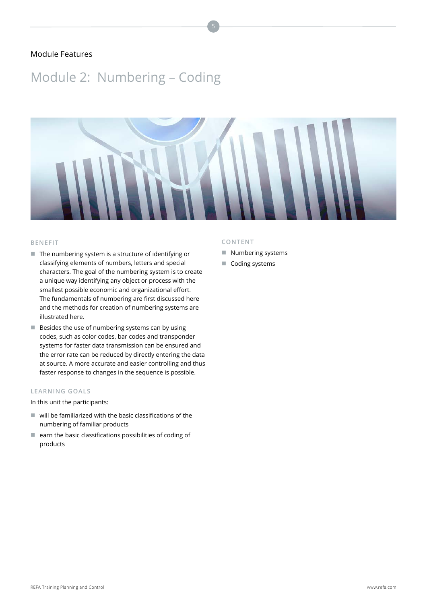# Module 2: Numbering – Coding



#### **BENEFIT**

- $\blacksquare$  The numbering system is a structure of identifying or classifying elements of numbers, letters and special characters. The goal of the numbering system is to create a unique way identifying any object or process with the smallest possible economic and organizational effort. The fundamentals of numbering are first discussed here and the methods for creation of numbering systems are illustrated here.
- $\blacksquare$  Besides the use of numbering systems can by using codes, such as color codes, bar codes and transponder systems for faster data transmission can be ensured and the error rate can be reduced by directly entering the data at source. A more accurate and easier controlling and thus faster response to changes in the sequence is possible.

# **LEARNING GOALS**

In this unit the participants:

- $\blacksquare$  will be familiarized with the basic classifications of the numbering of familiar products
- $\blacksquare$  earn the basic classifications possibilities of coding of products

- Numbering systems
- Coding systems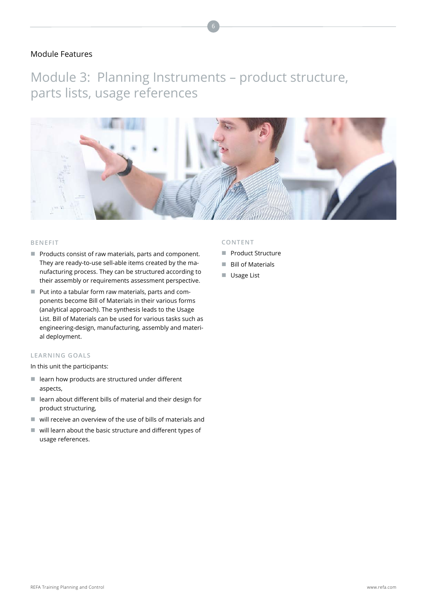Module 3: Planning Instruments – product structure, parts lists, usage references



#### **BENEFIT**

- $\blacksquare$  Products consist of raw materials, parts and component. They are ready-to-use sell-able items created by the manufacturing process. They can be structured according to their assembly or requirements assessment perspective.
- Put into a tabular form raw materials, parts and components become Bill of Materials in their various forms (analytical approach). The synthesis leads to the Usage List. Bill of Materials can be used for various tasks such as engineering-design, manufacturing, assembly and material deployment.

### **LEARNING GOALS**

In this unit the participants:

- $\blacksquare$  learn how products are structured under different aspects,
- $\blacksquare$  learn about different bills of material and their design for product structuring,
- $\blacksquare$  will receive an overview of the use of bills of materials and
- will learn about the basic structure and different types of usage references.

- **Product Structure**
- **Bill of Materials**
- **Usage List**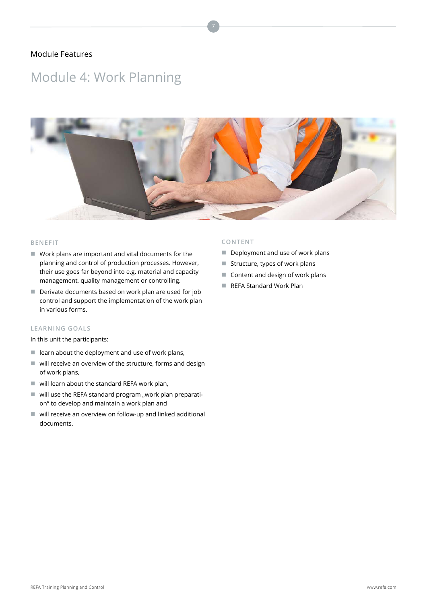# Module 4: Work Planning



# **BENEFIT**

- Work plans are important and vital documents for the planning and control of production processes. However, their use goes far beyond into e.g. material and capacity management, quality management or controlling.
- Derivate documents based on work plan are used for job control and support the implementation of the work plan in various forms.

### **LEARNING GOALS**

In this unit the participants:

- $\blacksquare$  learn about the deployment and use of work plans,
- will receive an overview of the structure, forms and design of work plans,
- $\blacksquare$  will learn about the standard REFA work plan,
- $\blacksquare$  will use the REFA standard program "work plan preparation" to develop and maintain a work plan and
- will receive an overview on follow-up and linked additional documents.

- Deployment and use of work plans
- $\blacksquare$  Structure, types of work plans
- Content and design of work plans
- REFA Standard Work Plan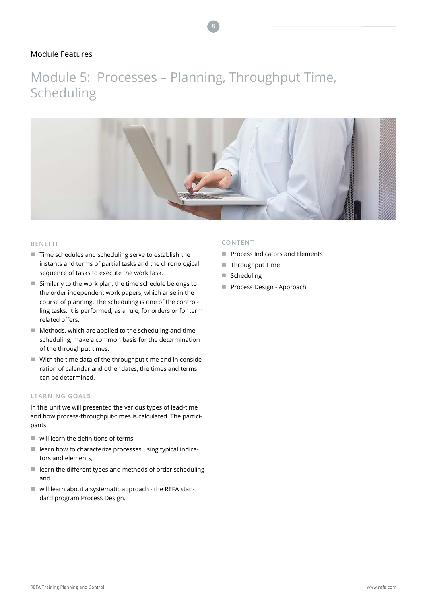Module 5: Processes – Planning, Throughput Time, Scheduling



#### **BENEFIT**

- Time schedules and scheduling serve to establish the instants and terms of partial tasks and the chronological sequence of tasks to execute the work task.
- Similarly to the work plan, the time schedule belongs to the order independent work papers, which arise in the course of planning. The scheduling is one of the controlling tasks. It is performed, as a rule, for orders or for term related offers.
- Methods, which are applied to the scheduling and time scheduling, make a common basis for the determination of the throughput times.
- $\blacksquare$  With the time data of the throughput time and in consideration of calendar and other dates, the times and terms can be determined.

### **LEARNING GOALS**

In this unit we will presented the various types of lead-time and how process-throughput-times is calculated. The participants:

- $\blacksquare$  will learn the definitions of terms,
- $\blacksquare$  learn how to characterize processes using typical indicators and elements,
- $\blacksquare$  learn the different types and methods of order scheduling and
- will learn about a systematic approach the REFA standard program Process Design.

- **Process Indicators and Elements**
- Throughput Time
- Scheduling
- Process Design Approach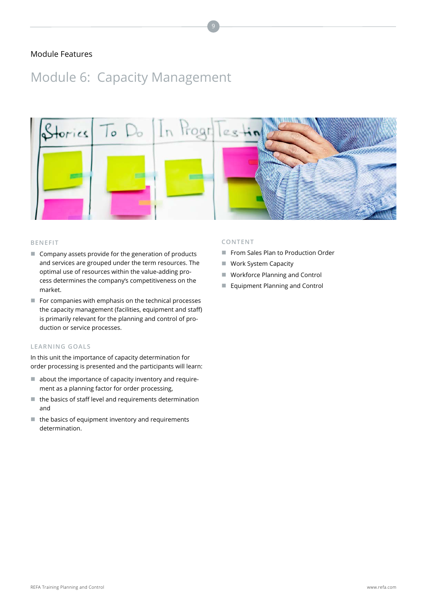# Module 6: Capacity Management



#### **BENEFIT**

- Company assets provide for the generation of products and services are grouped under the term resources. The optimal use of resources within the value-adding process determines the company's competitiveness on the market.
- For companies with emphasis on the technical processes the capacity management (facilities, equipment and staff) is primarily relevant for the planning and control of production or service processes.

### **LEARNING GOALS**

In this unit the importance of capacity determination for order processing is presented and the participants will learn:

- $\blacksquare$  about the importance of capacity inventory and requirement as a planning factor for order processing,
- $\blacksquare$  the basics of staff level and requirements determination and
- $\blacksquare$  the basics of equipment inventory and requirements determination.

- From Sales Plan to Production Order
- **Work System Capacity**
- Workforce Planning and Control
- **E** Equipment Planning and Control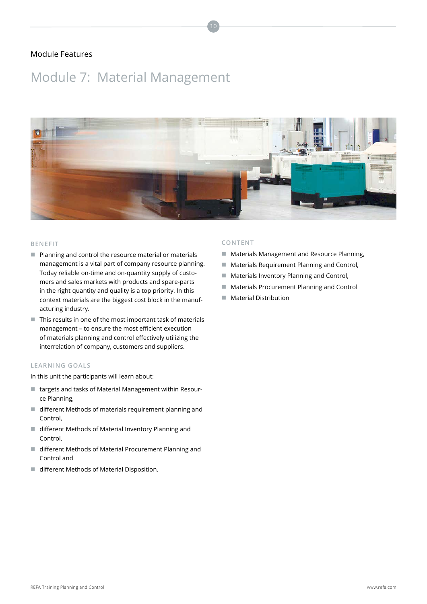# Module 7: Material Management



10

#### **BENEFIT**

- **Planning and control the resource material or materials** management is a vital part of company resource planning. Today reliable on-time and on-quantity supply of customers and sales markets with products and spare-parts in the right quantity and quality is a top priority. In this context materials are the biggest cost block in the manufacturing industry.
- $\blacksquare$  This results in one of the most important task of materials management – to ensure the most efficient execution of materials planning and control effectively utilizing the interrelation of company, customers and suppliers.

# **LEARNING GOALS**

In this unit the participants will learn about:

- targets and tasks of Material Management within Resource Planning,
- different Methods of materials requirement planning and Control,
- different Methods of Material Inventory Planning and Control,
- different Methods of Material Procurement Planning and Control and
- different Methods of Material Disposition.

- **Materials Management and Resource Planning,**
- **Materials Requirement Planning and Control,**
- **Materials Inventory Planning and Control,**
- **Materials Procurement Planning and Control**
- **Material Distribution**